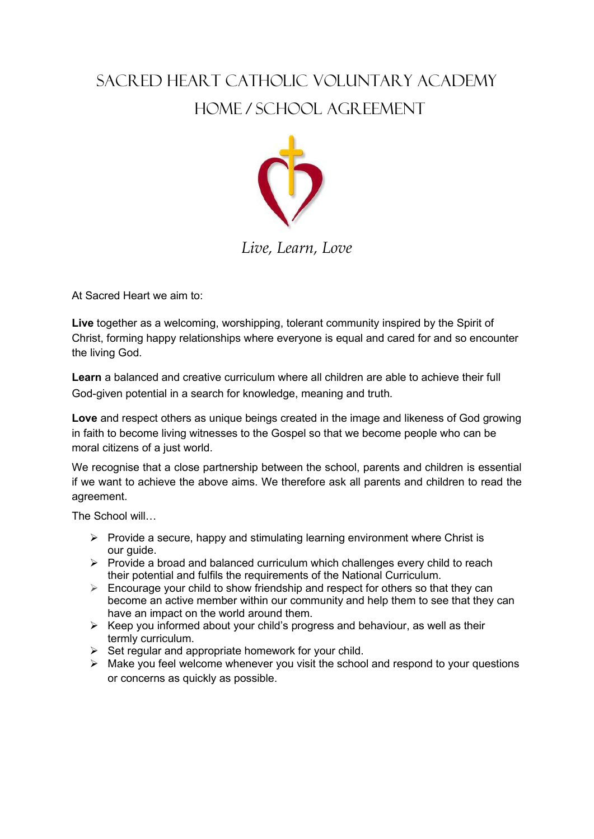## SACRED HEART CATHOLIC VOLUNTARY ACADEMY HOME / SCHOOL AGREEMENT



## *Live, Learn, Love*

At Sacred Heart we aim to:

**Live** together as a welcoming, worshipping, tolerant community inspired by the Spirit of Christ, forming happy relationships where everyone is equal and cared for and so encounter the living God.

**Learn** a balanced and creative curriculum where all children are able to achieve their full God-given potential in a search for knowledge, meaning and truth.

**Love** and respect others as unique beings created in the image and likeness of God growing in faith to become living witnesses to the Gospel so that we become people who can be moral citizens of a just world.

We recognise that a close partnership between the school, parents and children is essential if we want to achieve the above aims. We therefore ask all parents and children to read the agreement.

The School will…

- $\triangleright$  Provide a secure, happy and stimulating learning environment where Christ is our guide.
- $\triangleright$  Provide a broad and balanced curriculum which challenges every child to reach their potential and fulfils the requirements of the National Curriculum.
- $\triangleright$  Encourage your child to show friendship and respect for others so that they can become an active member within our community and help them to see that they can have an impact on the world around them.
- $\triangleright$  Keep you informed about your child's progress and behaviour, as well as their termly curriculum.
- $\triangleright$  Set regular and appropriate homework for your child.
- $\triangleright$  Make you feel welcome whenever you visit the school and respond to your questions or concerns as quickly as possible.